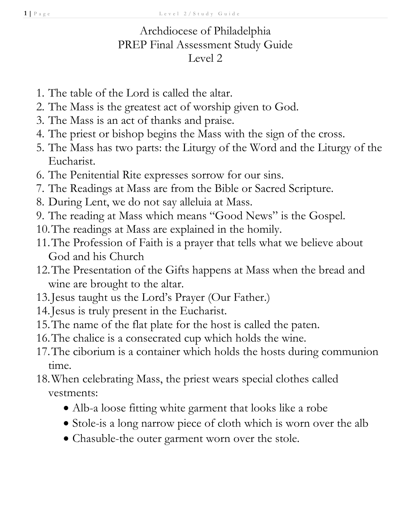## Archdiocese of Philadelphia PREP Final Assessment Study Guide Level 2

- 1. The table of the Lord is called the altar.
- 2. The Mass is the greatest act of worship given to God.
- 3. The Mass is an act of thanks and praise.
- 4. The priest or bishop begins the Mass with the sign of the cross.
- 5. The Mass has two parts: the Liturgy of the Word and the Liturgy of the Eucharist.
- 6. The Penitential Rite expresses sorrow for our sins.
- 7. The Readings at Mass are from the Bible or Sacred Scripture.
- 8. During Lent, we do not say alleluia at Mass.
- 9. The reading at Mass which means "Good News" is the Gospel.
- 10.The readings at Mass are explained in the homily.
- 11.The Profession of Faith is a prayer that tells what we believe about God and his Church
- 12.The Presentation of the Gifts happens at Mass when the bread and wine are brought to the altar.
- 13.Jesus taught us the Lord's Prayer (Our Father.)
- 14.Jesus is truly present in the Eucharist.
- 15.The name of the flat plate for the host is called the paten.
- 16.The chalice is a consecrated cup which holds the wine.
- 17.The ciborium is a container which holds the hosts during communion time.
- 18.When celebrating Mass, the priest wears special clothes called vestments:
	- Alb-a loose fitting white garment that looks like a robe
	- Stole-is a long narrow piece of cloth which is worn over the alb
	- Chasuble-the outer garment worn over the stole.